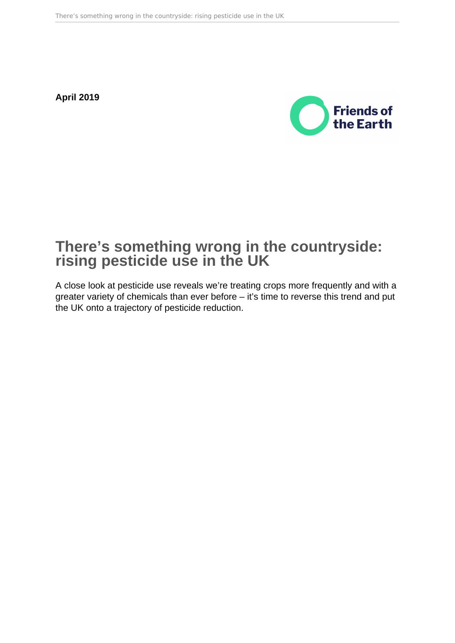**April 2019**



# **There's something wrong in the countryside: rising pesticide use in the UK**

A close look at pesticide use reveals we're treating crops more frequently and with a greater variety of chemicals than ever before – it's time to reverse this trend and put the UK onto a trajectory of pesticide reduction.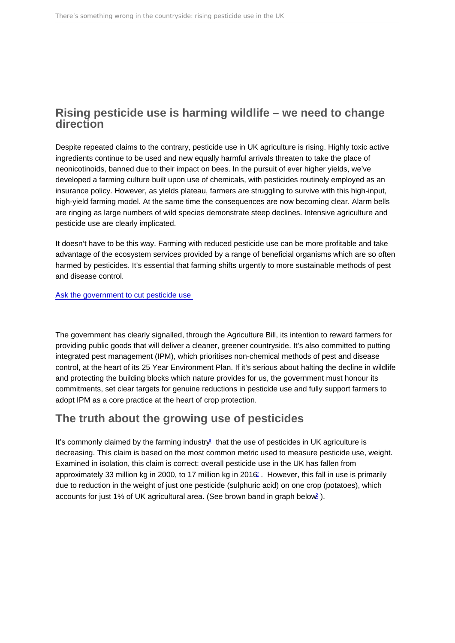## <span id="page-1-0"></span>Rising pesticide use is harming wildlife – we need to change direction

Despite repeated claims to the contrary, pesticide use in UK agriculture is rising. Highly toxic active ingredients continue to be used and new equally harmful arrivals threaten to take the place of neonicotinoids, banned due to their impact on bees. In the pursuit of ever higher yields, we've developed a farming culture built upon use of chemicals, with pesticides routinely employed as an insurance policy. However, as yields plateau, farmers are struggling to survive with this high-input, high-yield farming model. At the same time the consequences are now becoming clear. Alarm bells are ringing as large numbers of wild species demonstrate steep declines. Intensive agriculture and pesticide use are clearly implicated.

It doesn't have to be this way. Farming with reduced pesticide use can be more profitable and take advantage of the ecosystem services provided by a range of beneficial organisms which are so often harmed by pesticides. It's essential that farming shifts urgently to more sustainable methods of pest and disease control.

[Ask the government to cut pesticide use](https://act.friendsoftheearth.uk/target/demand-ambitious-pesticides-reduction-plan) 

The government has clearly signalled, through the Agriculture Bill, its intention to reward farmers for providing public goods that will deliver a cleaner, greener countryside. It's also committed to putting integrated pest management (IPM), which prioritises non-chemical methods of pest and disease control, at the heart of its 25 Year Environment Plan. If it's serious about halting the decline in wildlife and protecting the building blocks which nature provides for us, the government must honour its commitments, set clear targets for genuine reductions in pesticide use and fully support farmers to adopt IPM as a core practice at the heart of crop protection.

# The truth about the growing use of pesticides

It's commonly claimed by the farming industry that the use of pesticides in UK agriculture is decreasing. This claim is based on the most common metric used to measure pesticide use, weight. Examined in isolation, this claim is correct: overall pesticide use in the UK has fallen from approximately 33 million kg in 2000, to 17 million kg in 2016[2](#page-13-0) . However, this fall in use is primarily due to reduction in the weight of just one pesticide (sulphuric acid) on one crop (potatoes), which accounts for just 1% of UK agricultural area. (See brown band in graph below<sup>[2](#page-13-0)</sup>).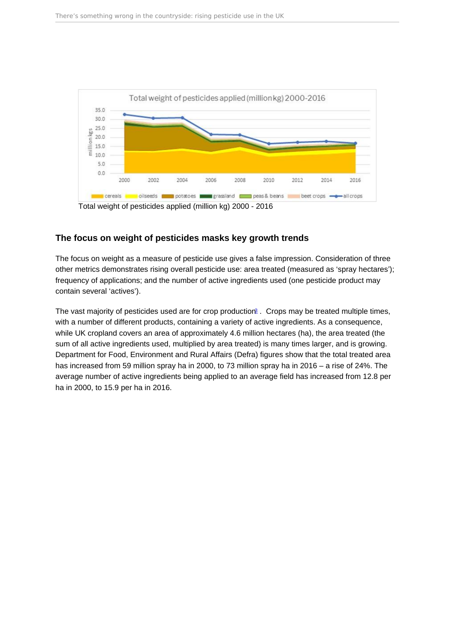<span id="page-2-0"></span>Total weight of pesticides applied (million kg) 2000 - 2016

#### The focus on weight of pesticides masks key growth trends

The focus on weight as a measure of pesticide use gives a false impression. Consideration of three other metrics demonstrates rising overall pesticide use: area treated (measured as 'spray hectares'); frequency of applications; and the number of active ingredients used (one pesticide product may contain several 'actives').

The vast majority of pesticides used are for crop production<sup>[3](#page-13-0)</sup>. Crops may be treated multiple times, with a number of different products, containing a variety of active ingredients. As a consequence, while UK cropland covers an area of approximately 4.6 million hectares (ha), the area treated (the sum of all active ingredients used, multiplied by area treated) is many times larger, and is growing. Department for Food, Environment and Rural Affairs (Defra) figures show that the total treated area has increased from 59 million spray ha in 2000, to 73 million spray ha in 2016 – a rise of 24%. The average number of active ingredients being applied to an average field has increased from 12.8 per ha in 2000, to 15.9 per ha in 2016.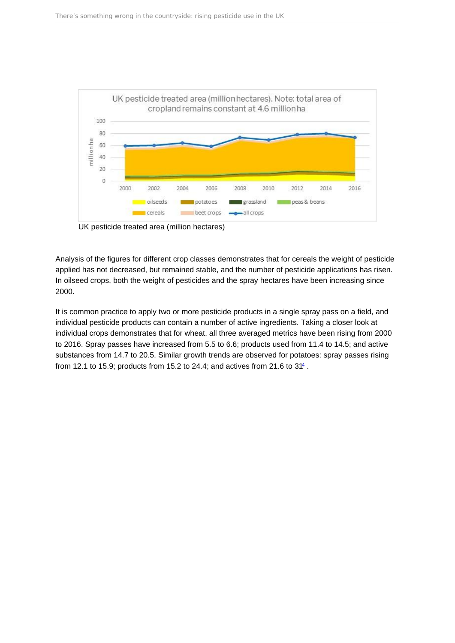<span id="page-3-0"></span>UK pesticide treated area (million hectares)

Analysis of the figures for different crop classes demonstrates that for cereals the weight of pesticide applied has not decreased, but remained stable, and the number of pesticide applications has risen. In oilseed crops, both the weight of pesticides and the spray hectares have been increasing since 2000.

It is common practice to apply two or more pesticide products in a single spray pass on a field, and individual pesticide products can contain a number of active ingredients. Taking a closer look at individual crops demonstrates that for wheat, all three averaged metrics have been rising from 2000 to 2016. Spray passes have increased from 5.5 to 6.6; products used from 11.4 to 14.5; and active substances from 14.7 to 20.5. Similar growth trends are observed for potatoes: spray passes rising from 12.1 to 15.9; products from 15.2 to 2[4](#page-13-0).4; and actives from 21.6 to  $31<sup>4</sup>$ .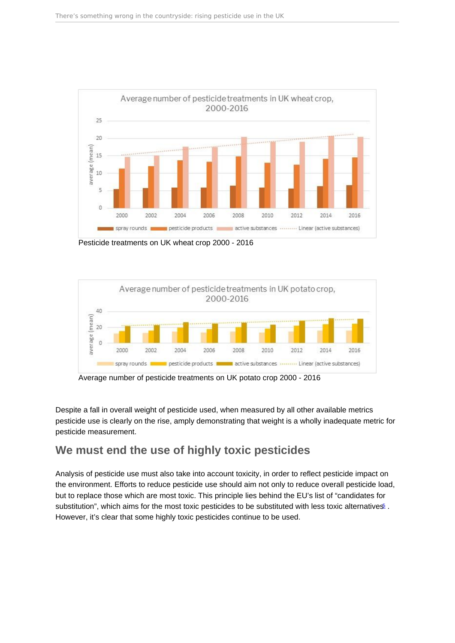<span id="page-4-0"></span>Pesticide treatments on UK wheat crop 2000 - 2016

Average number of pesticide treatments on UK potato crop 2000 - 2016

Despite a fall in overall weight of pesticide used, when measured by all other available metrics pesticide use is clearly on the rise, amply demonstrating that weight is a wholly inadequate metric for pesticide measurement.

### We must end the use of highly toxic pesticides

Analysis of pesticide use must also take into account toxicity, in order to reflect pesticide impact on the environment. Efforts to reduce pesticide use should aim not only to reduce overall pesticide load, but to replace those which are most toxic. This principle lies behind the EU's list of "candidates for substitution", which aims for the most toxic pesticides to be substituted with less toxic alternatives . However, it's clear that some highly toxic pesticides continue to be used.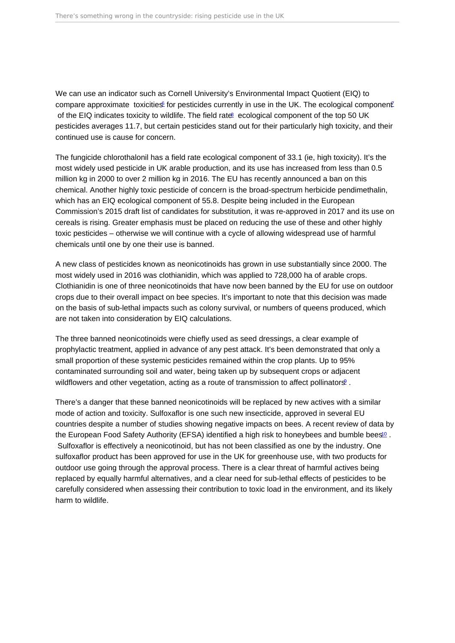<span id="page-5-0"></span>We can use an indicator such as Cornell University's Environmental Impact Quotient (EIQ) to compare approximate toxicities for pesticides currently in use in the UK. The ecological component of the EIQ indicates toxicity to wildlife. The field rate ecological component of the top 50 UK pesticides averages 11.7, but certain pesticides stand out for their particularly high toxicity, and their continued use is cause for concern.

The fungicide chlorothalonil has a field rate ecological component of 33.1 (ie, high toxicity). It's the most widely used pesticide in UK arable production, and its use has increased from less than 0.5 million kg in 2000 to over 2 million kg in 2016. The EU has recently announced a ban on this chemical. Another highly toxic pesticide of concern is the broad-spectrum herbicide pendimethalin, which has an EIQ ecological component of 55.8. Despite being included in the European Commission's 2015 draft list of candidates for substitution, it was re-approved in 2017 and its use on cereals is rising. Greater emphasis must be placed on reducing the use of these and other highly toxic pesticides – otherwise we will continue with a cycle of allowing widespread use of harmful chemicals until one by one their use is banned.

A new class of pesticides known as neonicotinoids has grown in use substantially since 2000. The most widely used in 2016 was clothianidin, which was applied to 728,000 ha of arable crops. Clothianidin is one of three neonicotinoids that have now been banned by the EU for use on outdoor crops due to their overall impact on bee species. It's important to note that this decision was made on the basis of sub-lethal impacts such as colony survival, or numbers of queens produced, which are not taken into consideration by EIQ calculations.

The three banned neonicotinoids were chiefly used as seed dressings, a clear example of prophylactic treatment, applied in advance of any pest attack. It's been demonstrated that only a small proportion of these systemic pesticides remained within the crop plants. Up to 95% contaminated surrounding soil and water, being taken up by subsequent crops or adjacent wildflowers and other vegetation, acting as a route of transmission to affect pollinators.

There's a danger that these banned neonicotinoids will be replaced by new actives with a similar mode of action and toxicity. Sulfoxaflor is one such new insecticide, approved in several EU countries despite a number of studies showing negative impacts on bees. A recent review of data by the European Food Safety Authority (EFSA) identified a high risk to honeybees and bumble bees<sup>[10](#page-13-0)</sup>. Sulfoxaflor is effectively a neonicotinoid, but has not been classified as one by the industry. One sulfoxaflor product has been approved for use in the UK for greenhouse use, with two products for outdoor use going through the approval process. There is a clear threat of harmful actives being replaced by equally harmful alternatives, and a clear need for sub-lethal effects of pesticides to be carefully considered when assessing their contribution to toxic load in the environment, and its likely harm to wildlife.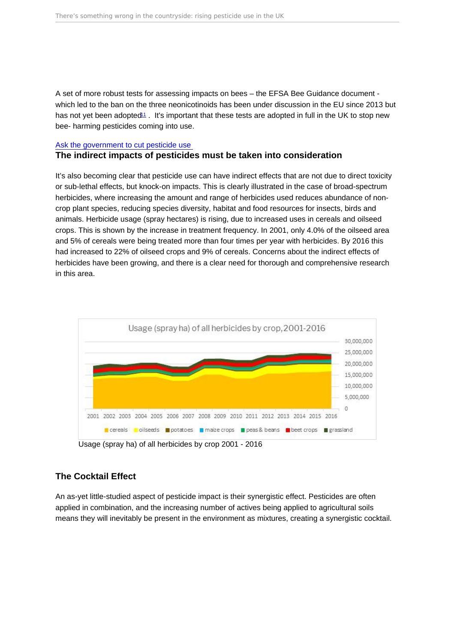<span id="page-6-0"></span>A set of more robust tests for assessing impacts on bees – the EFSA Bee Guidance document which led to the ban on the three neonicotinoids has been under discussion in the EU since 2013 but has not yet been adopted<sup>[11](#page-13-0)</sup>. It's important that these tests are adopted in full in the UK to stop new bee- harming pesticides coming into use.

#### [Ask the government to cut pesticide use](https://act.friendsoftheearth.uk/target/demand-ambitious-pesticides-reduction-plan)

The indirect impacts of pesticides must be taken into consideration

It's also becoming clear that pesticide use can have indirect effects that are not due to direct toxicity or sub-lethal effects, but knock-on impacts. This is clearly illustrated in the case of broad-spectrum herbicides, where increasing the amount and range of herbicides used reduces abundance of noncrop plant species, reducing species diversity, habitat and food resources for insects, birds and animals. Herbicide usage (spray hectares) is rising, due to increased uses in cereals and oilseed crops. This is shown by the increase in treatment frequency. In 2001, only 4.0% of the oilseed area and 5% of cereals were being treated more than four times per year with herbicides. By 2016 this had increased to 22% of oilseed crops and 9% of cereals. Concerns about the indirect effects of herbicides have been growing, and there is a clear need for thorough and comprehensive research in this area.

Usage (spray ha) of all herbicides by crop 2001 - 2016

#### The Cocktail Effect

An as-yet little-studied aspect of pesticide impact is their synergistic effect. Pesticides are often applied in combination, and the increasing number of actives being applied to agricultural soils means they will inevitably be present in the environment as mixtures, creating a synergistic cocktail.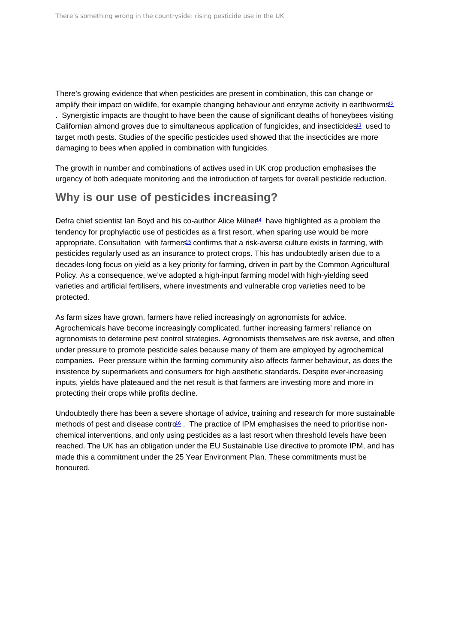<span id="page-7-0"></span>There's growing evidence that when pesticides are present in combination, this can change or amplify their impact on wildlife, for example changing behaviour and enzyme activity in earthworms<sup>[12](#page-13-0)</sup> . Synergistic impacts are thought to have been the cause of significant deaths of honeybees visiting Californian almond groves due to simultaneous application of fungicides, and insecticides<sup>[13](#page-13-0)</sup> used to target moth pests. Studies of the specific pesticides used showed that the insecticides are more damaging to bees when applied in combination with fungicides.

The growth in number and combinations of actives used in UK crop production emphasises the urgency of both adequate monitoring and the introduction of targets for overall pesticide reduction.

# Why is our use of pesticides increasing?

Defra chief scientist Ian Boyd and his co-author Alice Milner<sup>4</sup> have highlighted as a problem the tendency for prophylactic use of pesticides as a first resort, when sparing use would be more appropriate. Consultation with farmers<sup>[15](#page-13-0)</sup> confirms that a risk-averse culture exists in farming, with pesticides regularly used as an insurance to protect crops. This has undoubtedly arisen due to a decades-long focus on yield as a key priority for farming, driven in part by the Common Agricultural Policy. As a consequence, we've adopted a high-input farming model with high-yielding seed varieties and artificial fertilisers, where investments and vulnerable crop varieties need to be protected.

As farm sizes have grown, farmers have relied increasingly on agronomists for advice. Agrochemicals have become increasingly complicated, further increasing farmers' reliance on agronomists to determine pest control strategies. Agronomists themselves are risk averse, and often under pressure to promote pesticide sales because many of them are employed by agrochemical companies. Peer pressure within the farming community also affects farmer behaviour, as does the insistence by supermarkets and consumers for high aesthetic standards. Despite ever-increasing inputs, yields have plateaued and the net result is that farmers are investing more and more in protecting their crops while profits decline.

Undoubtedly there has been a severe shortage of advice, training and research for more sustainable methods of pest and disease contro<sup>[16](#page-13-0)</sup>. The practice of IPM emphasises the need to prioritise nonchemical interventions, and only using pesticides as a last resort when threshold levels have been reached. The UK has an obligation under the EU Sustainable Use directive to promote IPM, and has made this a commitment under the 25 Year Environment Plan. These commitments must be honoured.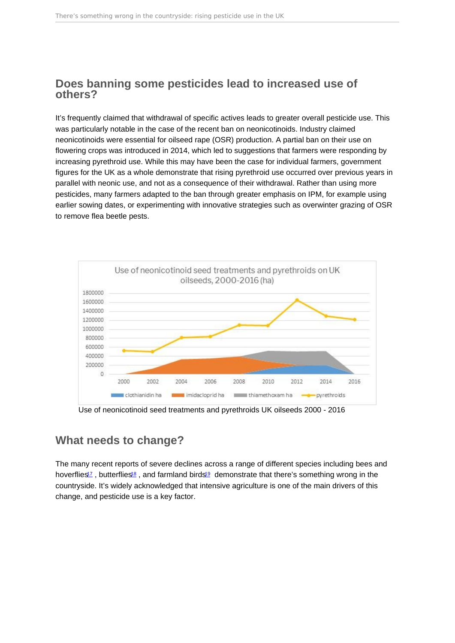### <span id="page-8-0"></span>Does banning some pesticides lead to increased use of others?

It's frequently claimed that withdrawal of specific actives leads to greater overall pesticide use. This was particularly notable in the case of the recent ban on neonicotinoids. Industry claimed neonicotinoids were essential for oilseed rape (OSR) production. A partial ban on their use on flowering crops was introduced in 2014, which led to suggestions that farmers were responding by increasing pyrethroid use. While this may have been the case for individual farmers, government figures for the UK as a whole demonstrate that rising pyrethroid use occurred over previous years in parallel with neonic use, and not as a consequence of their withdrawal. Rather than using more pesticides, many farmers adapted to the ban through greater emphasis on IPM, for example using earlier sowing dates, or experimenting with innovative strategies such as overwinter grazing of OSR to remove flea beetle pests.

Use of neonicotinoid seed treatments and pyrethroids UK oilseeds 2000 - 2016

## What needs to change?

The many recent reports of severe declines across a range of different species including bees and hoverflies<sup>[17](#page-13-0)</sup>, butterflies<sup>[18](#page-13-0)</sup>, and farmland birds<sup>[19](#page-13-0)</sup> demonstrate that there's something wrong in the countryside. It's widely acknowledged that intensive agriculture is one of the main drivers of this change, and pesticide use is a key factor.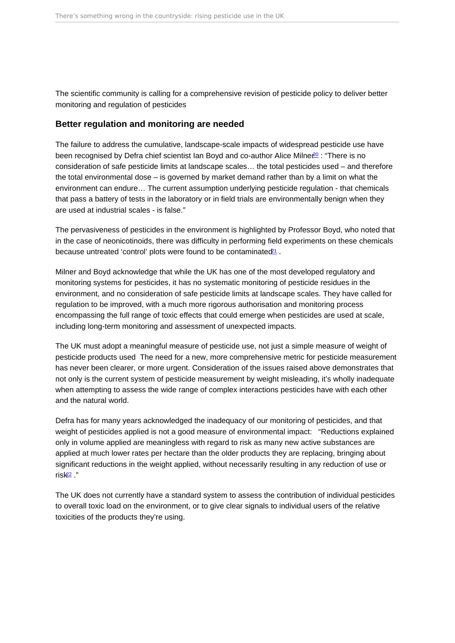<span id="page-9-0"></span>The scientific community is calling for a comprehensive revision of pesticide policy to deliver better monitoring and regulation of pesticides

#### Better regulation and monitoring are needed

The failure to address the cumulative, landscape-scale impacts of widespread pesticide use have been recognised by Defra chief scientist Ian Boyd and co-author Alice Milner<sup>o : "</sup>There is no consideration of safe pesticide limits at landscape scales… the total pesticides used – and therefore the total environmental dose – is governed by market demand rather than by a limit on what the environment can endure… The current assumption underlying pesticide regulation - that chemicals that pass a battery of tests in the laboratory or in field trials are environmentally benign when they are used at industrial scales - is false."

The pervasiveness of pesticides in the environment is highlighted by Professor Boyd, who noted that in the case of neonicotinoids, there was difficulty in performing field experiments on these chemicals because untreated 'control' plots were found to be contaminated<sup>[21](#page-13-0)</sup>.

Milner and Boyd acknowledge that while the UK has one of the most developed regulatory and monitoring systems for pesticides, it has no systematic monitoring of pesticide residues in the environment, and no consideration of safe pesticide limits at landscape scales. They have called for regulation to be improved, with a much more rigorous authorisation and monitoring process encompassing the full range of toxic effects that could emerge when pesticides are used at scale, including long-term monitoring and assessment of unexpected impacts.

The UK must adopt a meaningful measure of pesticide use, not just a simple measure of weight of pesticide products used The need for a new, more comprehensive metric for pesticide measurement has never been clearer, or more urgent. Consideration of the issues raised above demonstrates that not only is the current system of pesticide measurement by weight misleading, it's wholly inadequate when attempting to assess the wide range of complex interactions pesticides have with each other and the natural world.

Defra has for many years acknowledged the inadequacy of our monitoring of pesticides, and that weight of pesticides applied is not a good measure of environmental impact: "Reductions explained only in volume applied are meaningless with regard to risk as many new active substances are applied at much lower rates per hectare than the older products they are replacing, bringing about significant reductions in the weight applied, without necessarily resulting in any reduction of use or  $risk<sup>22</sup>$  $risk<sup>22</sup>$  $risk<sup>22</sup>$  ."

The UK does not currently have a standard system to assess the contribution of individual pesticides to overall toxic load on the environment, or to give clear signals to individual users of the relative toxicities of the products they're using.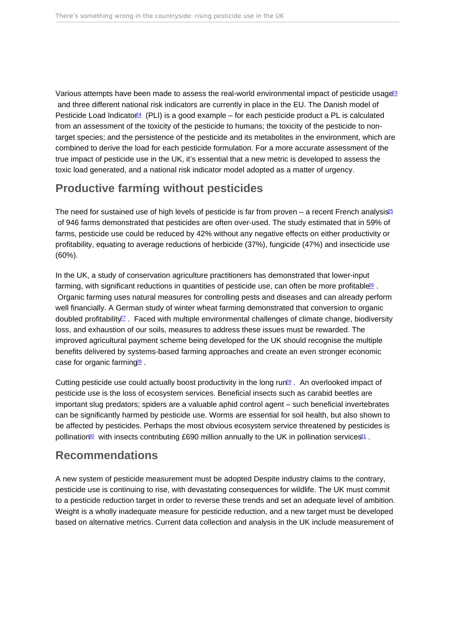<span id="page-10-0"></span>Various attempts have been made to assess the real-world environmental impact of pesticide usage<sup>[23](#page-13-0)</sup> and three different national risk indicators are currently in place in the EU. The Danish model of Pesticide Load Indicator<sup>[24](#page-13-0)</sup> (PLI) is a good example – for each pesticide product a PL is calculated from an assessment of the toxicity of the pesticide to humans; the toxicity of the pesticide to nontarget species; and the persistence of the pesticide and its metabolites in the environment, which are combined to derive the load for each pesticide formulation. For a more accurate assessment of the true impact of pesticide use in the UK, it's essential that a new metric is developed to assess the toxic load generated, and a national risk indicator model adopted as a matter of urgency.

# Productive farming without pesticides

The need for sustained use of high levels of pesticide is far from proven – a recent French analysis<sup>[25](#page-13-0)</sup> of 946 farms demonstrated that pesticides are often over-used. The study estimated that in 59% of farms, pesticide use could be reduced by 42% without any negative effects on either productivity or profitability, equating to average reductions of herbicide (37%), fungicide (47%) and insecticide use (60%).

In the UK, a study of conservation agriculture practitioners has demonstrated that lower-input farming, with significant reductions in quantities of pesticide use, can often be more profitable<sup>66</sup>. Organic farming uses natural measures for controlling pests and diseases and can already perform well financially. A German study of winter wheat farming demonstrated that conversion to organic doubled profitability<sup>[27](#page-13-0)</sup>. Faced with multiple environmental challenges of climate change, biodiversity loss, and exhaustion of our soils, measures to address these issues must be rewarded. The improved agricultural payment scheme being developed for the UK should recognise the multiple benefits delivered by systems-based farming approaches and create an even stronger economic case for organic farming<sup>[28](#page-13-0)</sup>.

Cutting pesticide use could actually boost productivity in the long run<sup>[29](#page-14-0)</sup>. An overlooked impact of pesticide use is the loss of ecosystem services. Beneficial insects such as carabid beetles are important slug predators; spiders are a valuable aphid control agent – such beneficial invertebrates can be significantly harmed by pesticide use. Worms are essential for soil health, but also shown to be affected by pesticides. Perhaps the most obvious ecosystem service threatened by pesticides is pollination<sup>[30](#page-14-0)</sup> with insects contributing £690 million annually to the UK in pollination services<sup>[31](#page-14-0)</sup>.

## Recommendations

A new system of pesticide measurement must be adopted Despite industry claims to the contrary, pesticide use is continuing to rise, with devastating consequences for wildlife. The UK must commit to a pesticide reduction target in order to reverse these trends and set an adequate level of ambition. Weight is a wholly inadequate measure for pesticide reduction, and a new target must be developed based on alternative metrics. Current data collection and analysis in the UK include measurement of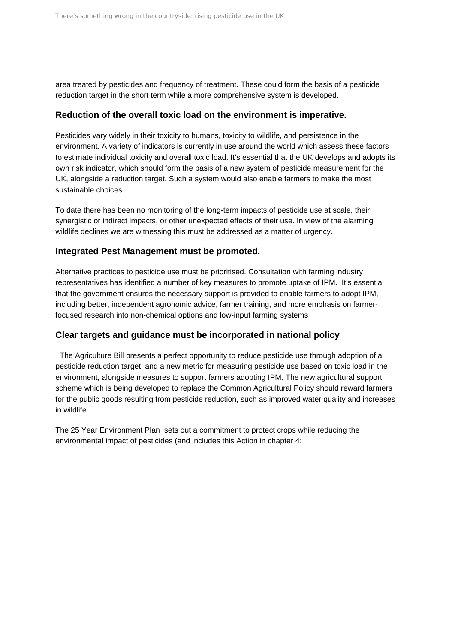area treated by pesticides and frequency of treatment. These could form the basis of a pesticide reduction target in the short term while a more comprehensive system is developed.

#### **Reduction of the overall toxic load on the environment is imperative.**

Pesticides vary widely in their toxicity to humans, toxicity to wildlife, and persistence in the environment. A variety of indicators is currently in use around the world which assess these factors to estimate individual toxicity and overall toxic load. It's essential that the UK develops and adopts its own risk indicator, which should form the basis of a new system of pesticide measurement for the UK, alongside a reduction target. Such a system would also enable farmers to make the most sustainable choices.

To date there has been no monitoring of the long-term impacts of pesticide use at scale, their synergistic or indirect impacts, or other unexpected effects of their use. In view of the alarming wildlife declines we are witnessing this must be addressed as a matter of urgency.

#### **Integrated Pest Management must be promoted.**

Alternative practices to pesticide use must be prioritised. Consultation with farming industry representatives has identified a number of key measures to promote uptake of IPM. It's essential that the government ensures the necessary support is provided to enable farmers to adopt IPM, including better, independent agronomic advice, farmer training, and more emphasis on farmerfocused research into non-chemical options and low-input farming systems

#### **Clear targets and guidance must be incorporated in national policy**

 The Agriculture Bill presents a perfect opportunity to reduce pesticide use through adoption of a pesticide reduction target, and a new metric for measuring pesticide use based on toxic load in the environment, alongside measures to support farmers adopting IPM. The new agricultural support scheme which is being developed to replace the Common Agricultural Policy should reward farmers for the public goods resulting from pesticide reduction, such as improved water quality and increases in wildlife.

The 25 Year Environment Plan sets out a commitment to protect crops while reducing the environmental impact of pesticides (and includes this Action in chapter 4: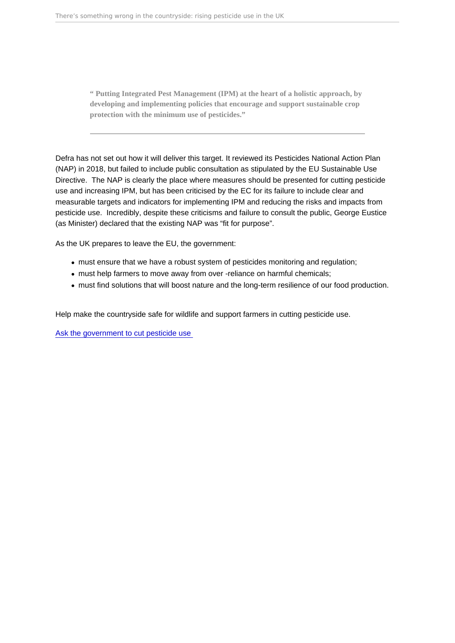" Putting Integrated Pest Management (IPM) at the heart of a holistic approach, by developing and implementing policies that encourage and support sustainable crop protection with the minimum use of pesticides.

Defra has not set out how it will deliver this target. It reviewed its Pesticides National Action Plan (NAP) in 2018, but failed to include public consultation as stipulated by the EU Sustainable Use Directive. The NAP is clearly the place where measures should be presented for cutting pesticide use and increasing IPM, but has been criticised by the EC for its failure to include clear and measurable targets and indicators for implementing IPM and reducing the risks and impacts from pesticide use. Incredibly, despite these criticisms and failure to consult the public, George Eustice (as Minister) declared that the existing NAP was "fit for purpose".

As the UK prepares to leave the EU, the government:

- must ensure that we have a robust system of pesticides monitoring and regulation;
- must help farmers to move away from over -reliance on harmful chemicals;
- must find solutions that will boost nature and the long-term resilience of our food production.

Help make the countryside safe for wildlife and support farmers in cutting pesticide use.

[Ask the government to cut pesticide use](https://act.friendsoftheearth.uk/target/demand-ambitious-pesticides-reduction-plan)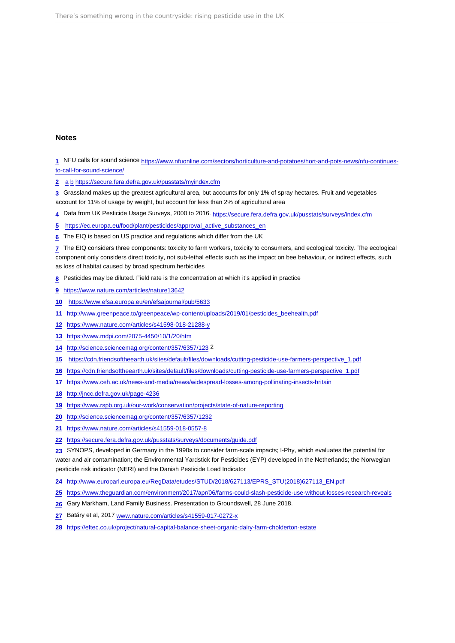#### <span id="page-13-0"></span>Notes

 NFU calls for sound science [https://www.nfuonline.com/sectors/horticulture-and-potatoes/hort-and-pots-news/nfu-continues](https://www.nfuonline.com/sectors/horticulture-and-potatoes/hort-and-pots-news/nfu-continues-to-call-for-sound-science/)[to-call-for-sound-science/](https://www.nfuonline.com/sectors/horticulture-and-potatoes/hort-and-pots-news/nfu-continues-to-call-for-sound-science/)

[a](#page-1-0) [b](#page-1-0) <https://secure.fera.defra.gov.uk/pusstats/myindex.cfm>

 Grassland makes up the greatest agricultural area, but accounts for only 1% of spray hectares. Fruit and vegetables account for 11% of usage by weight, but account for less than 2% of agricultural area

- Data from UK Pesticide Usage Surveys, 2000 to 2016.<https://secure.fera.defra.gov.uk/pusstats/surveys/index.cfm>
- [https://ec.europa.eu/food/plant/pesticides/approval\\_active\\_substances\\_en](https://ec.europa.eu/food/plant/pesticides/approval_active_substances_en)
- The EIQ is based on US practice and regulations which differ from the UK

 The EIQ considers three components: toxicity to farm workers, toxicity to consumers, and ecological toxicity. The ecological component only considers direct toxicity, not sub-lethal effects such as the impact on bee behaviour, or indirect effects, such as loss of habitat caused by broad spectrum herbicides

- Pesticides may be diluted. Field rate is the concentration at which it's applied in practice
- <https://www.nature.com/articles/nature13642>
- <https://www.efsa.europa.eu/en/efsajournal/pub/5633>
- [http://www.greenpeace.to/greenpeace/wp-content/uploads/2019/01/pesticides\\_beehealth.pdf](http://www.greenpeace.to/greenpeace/wp-content/uploads/2019/01/pesticides_beehealth.pdf)
- <https://www.nature.com/articles/s41598-018-21288-y>
- <https://www.mdpi.com/2075-4450/10/1/20/htm>
- <http://science.sciencemag.org/content/357/6357/123>2
- [https://cdn.friendsoftheearth.uk/sites/default/files/downloads/cutting-pesticide-use-farmers-perspective\\_1.pdf](https://cdn.friendsoftheearth.uk/sites/default/files/downloads/cutting-pesticide-use-farmers-perspective_1.pdf)
- [https://cdn.friendsoftheearth.uk/sites/default/files/downloads/cutting-pesticide-use-farmers-perspective\\_1.pdf](https://cdn.friendsoftheearth.uk/sites/default/files/downloads/cutting-pesticide-use-farmers-perspective_1.pdf)
- <https://www.ceh.ac.uk/news-and-media/news/widespread-losses-among-pollinating-insects-britain>
- <http://jncc.defra.gov.uk/page-4236>
- <https://www.rspb.org.uk/our-work/conservation/projects/state-of-nature-reporting>
- <http://science.sciencemag.org/content/357/6357/1232>
- <https://www.nature.com/articles/s41559-018-0557-8>
- <https://secure.fera.defra.gov.uk/pusstats/surveys/documents/guide.pdf>

 SYNOPS, developed in Germany in the 1990s to consider farm-scale impacts; I-Phy, which evaluates the potential for water and air contamination; the Environmental Yardstick for Pesticides (EYP) developed in the Netherlands; the Norwegian pesticide risk indicator (NERI) and the Danish Pesticide Load Indicator

- [http://www.europarl.europa.eu/RegData/etudes/STUD/2018/627113/EPRS\\_STU\(2018\)627113\\_EN.pdf](http://www.europarl.europa.eu/RegData/etudes/STUD/2018/627113/EPRS_STU(2018)627113_EN.pdf)
- <https://www.theguardian.com/environment/2017/apr/06/farms-could-slash-pesticide-use-without-losses-research-reveals>
- Gary Markham, Land Family Business. Presentation to Groundswell, 28 June 2018.
- Batáry et al, 2017 [www.nature.com/articles/s41559-017-0272-x](http://www.nature.com/articles/s41559-017-0272-x)
- <https://eftec.co.uk/project/natural-capital-balance-sheet-organic-dairy-farm-cholderton-estate>